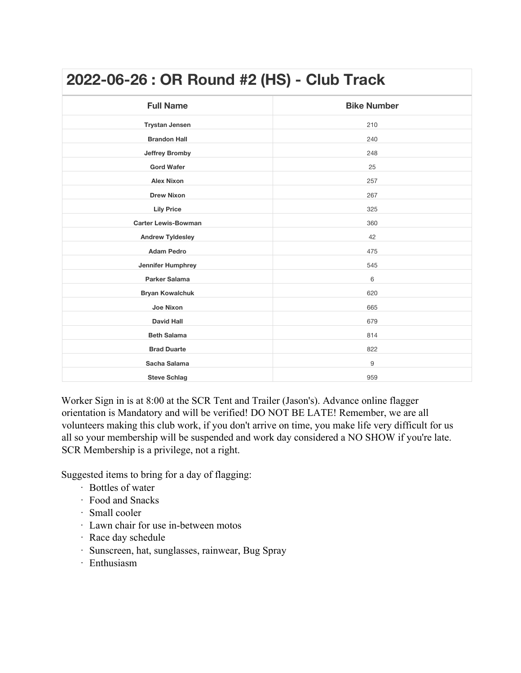| 2022-06-26 : OR Round #2 (HS) - Club Track |                    |
|--------------------------------------------|--------------------|
| <b>Full Name</b>                           | <b>Bike Number</b> |
| <b>Trystan Jensen</b>                      | 210                |
| <b>Brandon Hall</b>                        | 240                |
| <b>Jeffrey Bromby</b>                      | 248                |
| <b>Gord Wafer</b>                          | 25                 |
| <b>Alex Nixon</b>                          | 257                |
| <b>Drew Nixon</b>                          | 267                |
| <b>Lily Price</b>                          | 325                |
| <b>Carter Lewis-Bowman</b>                 | 360                |
| <b>Andrew Tyldesley</b>                    | 42                 |
| <b>Adam Pedro</b>                          | 475                |
| <b>Jennifer Humphrey</b>                   | 545                |
| <b>Parker Salama</b>                       | 6                  |
| <b>Bryan Kowalchuk</b>                     | 620                |
| <b>Joe Nixon</b>                           | 665                |
| <b>David Hall</b>                          | 679                |
| <b>Beth Salama</b>                         | 814                |
| <b>Brad Duarte</b>                         | 822                |
| Sacha Salama                               | 9                  |
| <b>Steve Schlag</b>                        | 959                |

Worker Sign in is at 8:00 at the SCR Tent and Trailer (Jason's). Advance online flagger orientation is Mandatory and will be verified! DO NOT BE LATE! Remember, we are all volunteers making this club work, if you don't arrive on time, you make life very difficult for us all so your membership will be suspended and work day considered a NO SHOW if you're late. SCR Membership is a privilege, not a right.

Suggested items to bring for a day of flagging:

- · Bottles of water
- · Food and Snacks
- · Small cooler
- · Lawn chair for use in-between motos
- · Race day schedule
- · Sunscreen, hat, sunglasses, rainwear, Bug Spray
- · Enthusiasm